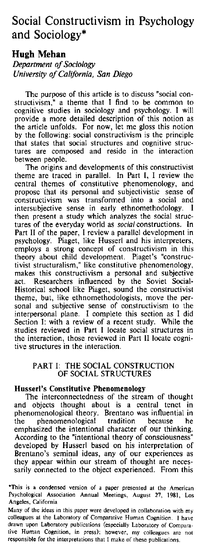# Social Constructivism in Psychology and Sociology\*

# **Hugh Mehan**

*Department of Sociology University of California, San Diego* 

The purpose of this article is to discuss "social constructivism," a theme that I find to be common to cognitive studies in sociology and psychology. I will provide a more detailed description of this notion as the article unfolds. For now, let me gloss this notion by the following: social constructivism is the principle that states that social structures and cognitive structures are composed and reside in the interaction between people.

The origins and developments of this constructivist theme are traced in parallel. In Part I, I review the central themes of constitutive phenomenology, and propose that its personal and subjectivistic sense of constructivism was transformed into a social and intersubjective sense in early ethnomethodology. I then present a study which analyzes the social structures of the everyday world as *social* constructions. In Part II of the paper, I review a parallel development in psychology. Piaget, like Husserl and his interpreters, employs a strong concept of constructivism in this theory about child development. Piaget's "constructivist structuralism," like constitutive phenomenology, makes this constructivism a personal and subjective act. Researchers influenced by the Soviet Social-Historical school like Piaget, sound the constructivist theme, but, like ethnomethodologists, move the personal and subjective sense of constructivism to the interpersonal plane. I complete this section as I did Section I: with a review of a recent study. While the studies reviewed in Part I locate social structures in the interaction, those reviewed in Part II locate cognitive structures in the interaction.

# PART I: THE SOCIAL CONSTRUCTION OF SOCIAL STRUCTURES

# Husserl's Constitutive Phenomenology

The interconnectedness of the stream of thought and objects thought about is a central tenet in phenomenological theory. Brentano was influential in the phenomenological tradition because he emphasized the intentional character of our thinking. According to the "intentional theory of consciousness" developed by Husserl based on his interpretation of Brentano's seminal ideas, any of our experiences as they appear within our stream of thought are necessarily connected to the object experienced. From this

\*This is a condensed version of a paper presented at the American Psychological Association Annual Meetings, August 27, 1981, Los Angeles, California

Many of the ideas in this paper were developed in collaboration with my colleagues at the Laboratory of Comparative Human Cognition. I have drawn upon Laboratory publications (especially Laboratory of Comparative Human Cognition, in press); however, my colleagues are not responsible for the interpretations that I make of these publications.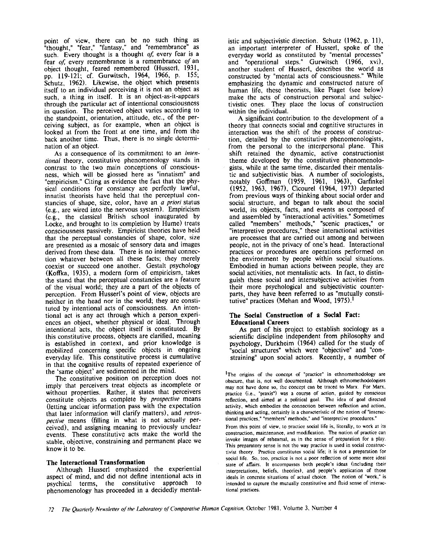point of view, there can be no such thing as "thought," "fear," "fantasy," and "remembrance" as such. Every thought is a thought *of,* every fear is a fear *of,* every remembrance is a remembrance *of* an object thought, feared remembered (Husserl, 1931, pp. 119-121; cf. Gurwitsch, 1964, 1966, p. 155; Schutz, 1962). Likewise, the object which presents itself to an individual perceiving it is not an object as such, a thing in itself. It is an object-as-it-appears through the particular act of intentional consciousness in question. The perceived object varies according to the standpoint, orientation, attitude, etc., of the perceiving subject, as for example, when an object is looked at from the front at one time, and from the back another time. Thus, there is no single determination of an object.

As a consequence of its commitment to an *intentional* theory, constitutive phenomenology stands in contrast to the two main conceptions of consciousness, which will be glossed here as "innatism" and "empiricism." Citing as evidence the fact that the physical conditions for constancy are perfectly lawful, innatist theorists have held that the perceptual constancies of shape, size, color, have an *a priori* status (e.g., are wired into the nervous system). Empiricism (e.g., the classical British school inaugurated by Locke, and brought to its completion by Hume) treats consciousness passively. Empiricist theories have held that the perceptual constancies of shape, color, size are presented as a mosaic of sensory data and images derived from these data. There is no internal connection whatever between all these facts; they merely coexist or succeed one another. Gestalt psychology (Koffka, 1935), a modern form of empiricism, takes the stand that the perceptual constancies are a feature of the visual world; they are a part of the objects of perception. From Husserl's point of view, objects are neither in the head nor in the world; they are constituted by intentional acts of consciousness. An intentional act is any act through which a person experiences an object, whether physical or ideal. Through intentional acts, the object itself is constituted. By this constitutive process, objects are clarified, meaning is established in context, and prior knowledge is mobilized· concerning specific objects in ongoing everyday life. This constitutive process is cumulative in that the cognitive results of repeated experience of the 'same object' are sedimented in the mind.

The constitutive position on perception does not imply that perceivers treat objects as incomplete or without properties. Rather, it states that perceivers constitute objects as complete by *prospective* means (letting unclear information pass with the expectation that later information will clarify matters), and *retrospective* means (filling in what is not actually perceived), and assigning meaning to previously unclear events. These constitutive acts make the world the stable, objective, constraining and permanent place we know it to be.

#### **The Jnteractional Transformation**

Although Husserl emphasized the experiential aspect of mind, and did not define intentional acts in psychical terms, the constitutive approach to phenomenology has proceeded in a decidedly mentalistic and subjectivistic direction. Schutz (1962, p. Ii), an important interpreter of Husserl, spoke of the everyday world as constituted by "mental processes" and "operational steps." Gurwitsch (1966, xvi), another student of Husserl, describes the world as constructed by "mental acts of consciousness." While emphasizing the dynamic and constructed nature of human life, these theorists, like Piaget (see below) make the acts of construction personal and subjectivistic ones. They place the locus of construction within the individual.

A significant contribution to the development of a theory that connects social and cognitive structures in interaction was the shift of the process of construction, detailed by the constitutive phenomenologists, from the personal to the interpersonal plane. This shift retained the dynamic, active constructionist theme developed by the constitutive phenomenologists, while at the same time, discarded their mentalistic and subjectivistic bias. A number of sociologists, notably Goffman (\959, 1961, 1963), Garfinkel (\952, 1963, 1967), Cicourel (\964, 1973) departed from previous ways of thinking about social order and social structure, and began to talk about the social world, its objects, facts, and events as composed of and assembled by "interactional activities." Sometimes called "members' methods," "scenic practices," or "interpretive procedures," these interactional activities are processes that are carried out among and between people, not in the privacy of one's head. Interactional practices or procedures are operations performed on the environment by people within social situations. Embodied in human actions between people, they are social activities, not mentalistic acts. In fact, to distinguish these social and intersubjective activities from their more psychological and subjectivistic counterparts, they have been referred to as "mutually constitutive" practices (Mehan and Wood, 1975).<sup>1</sup>

# **The Social Construction of a Social Fact: Educational Careers**

As part of his project to establish sociology as a scientific discipline independent from philosophy and psychology, Durkheim (1964) called for the study of "social structures" which were "objective" and "constraining" upon social actors. Recently, a number of

<sup>1</sup>The origins of the concept of "practice" in ethnomethodology are obscure, that is, not well documented. Although ethnomethodologists may not have done so. the concept can be traced to Marx. For Marx, practice (i.e., "praxis") was a course of action, guided by conscious reflection, and aimed at a political goal. The idea of goal directed activity, which embodies the connection between reflection and action, thinking and acting, certainly is a characteristic of the notion or "interactional practices," "members' methods," and "interpretive procedures."

From this point of view, to practice social life is, literally, to work at its construction, maintenance, and modification. The notion of practice can invoke images of rehearsal, as in the sense of preparation for a play. This preparatory sense is not the way practice is used in social constructivist theory. Practice constitutes social life; it is not a preparation for social life. So, too, practice is not a poor reflection of some more ideal state of affairs. It encompasses both people's ideas (including their interpretations, beliefs, theories), and people's application of those ideals in concrete situations of actual choice. The notion of "work," is intended to capture the mutually constitutive and fluid sense of interactional practices.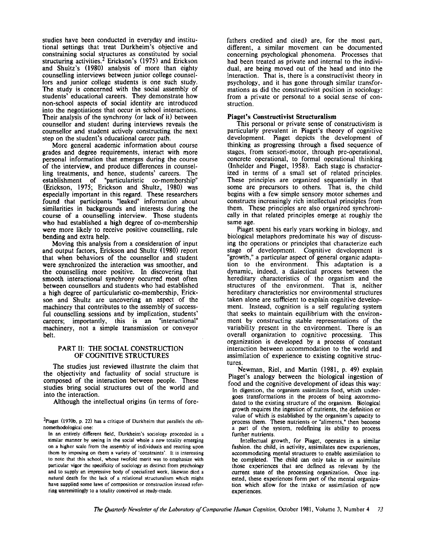studies have been conducted in everyday and institutional settings that treat Durkheim's objective and **constraining social structures as constituted by social**  structuring activities.<sup>2</sup> Erickson's (1975) and Erickson and Shultz's (1980) analysis of more than eighty counselling interviews between junior college counsellors and junior college students is one such study. The study is concerned with the social assembly of students' educational careers. They demonstrate how non-school aspects of social identity are introduced **into the negotiations that occur in school interactions.**  Their analysis of the synchrony (or lack of it) between counsellor and student during interviews reveals the counsellor and student actively constructing the next step on the student's educational career path.

**More general academic information about course**  grades and degree requirements, interact with more personal information that emerges during the course of the interview, and produce differences in counsel**ling treatments, and hence, students' careers. The establishment of "particularistic co-membership"**  (Erickson, 1975; Erickson and Shultz, 1980) was especially important in this regard. These researchers found that participants "leaked" information about similarities in backgrounds and interests during the course of a counselling interview. Those students who had established a high degree of co-membership were more likely to receive positive counselling, rule bending and extra help.

Moving this analysis from a consideration of input and output factors, Erickson and Shultz (1980) report that when behaviors of the counsellor and student **were synchronized the interaction was smoother, and**  the counselling more positive. In discovering that smooth interactional synchrony occurred most often between counsellors and students who had established a high degree of particularistic co-membership, Erickson and Shultz are uncovering an aspect of the machinery that contributes to the assembly of successful counselling sessions and by implication, students' careers; importantly, this is an "interactional" **machinery, not a simple transmission or conveyor**  belt.

#### PART II: THE SOCIAL CONSTRUCTION OF COGNITIVE STRUCTURES

The studies just reviewed illustrate the claim that the objectivity and factuality of social structure is composed of the interaction between people. These studies bring social structures out of the world and **into the interaction.** 

Although the intellectual origins (in terms of fore-

fathers credited and cited) are, for the most part, **different, a similar movement can be documented**  concerning psychological phenomena. Processes that had been treated as private and internal to the individual, are being moved out of the head and into the **interaction. That is, there is a constructivist theory in**  psychology, and it has gone through similar transfor**mations as did the constructivist position in sociology: from a private or personal to a social sense of construction.** 

# **Piaget's Constructivist Structuralism**

**This personal or private sense of constructivism is particularly prevalent in Piaget's theory of cognitive**  development. Piaget depicts the development of thinking as progressing through a fixed sequence of **stages, from sensori-motor, through pre-operational,**  concrete operational, to formal operational thinking (Inhelder and Piaget, 1958). Each stage is characterized in terms of a small set of related principles. These principles are organized sequentially in that some are precursors to others. That is, the child begins with a few simple sensory motor schemes and constructs increasingly rich intellectual principles from them. These principles are also organized synchronically in that related principles emerge at roughly the same age.

Piaget spent his early years working in biology, and **biological metaphors predominate his way of discussing the operations or principles that characterize each**  stage of development. Cognitive development is "growth," a particular aspect of general organic adapta**tion to the environment. This adaptation is a**  dynamic, indeed, a dialectical process between the hereditary characteristics of the organism and the **structures of the environment. That is, neither hereditary characteristics nor environmental structures**  taken alone are sufficient to explain cognitive develop**ment. Instead, cognition is a self regulating system**  that seeks to maintain equilibrium with the environment by constructing stable representations of the **variability present in the environment. There is an overall organization to cognitive processing. This**  organization is developed by a process of constant **interaction between accommodation to the world and assimilation of experience to existing cognitive structures.** 

Newman, Riel, and Martin (1981, p. 49) explain Piaget's analogy between the biological ingestion of food and the cognitive development of ideas this way:

**In digestion, the organism assimilates food, which undergoes transformations in the process of being accommodated to the existing structure of the organism. Biological growth requires the ingestion of nutrients, the definition or value of which is established by the organism's capacity to process them. These nutrients or "aliments," then become a part of the system, redefining its ability to process further nutrients.** 

**Intellectual growth, for Piaget, operates in a similar fashion. the child, in activity, assimilates new experiences, accommodating mental structures to enable assimilation to be completed. The child can only take in or assimilate those experiences that are defined as relevant by the current state of the processing organization. Once ingested, these experiences form part of the mental organization which allow for the intake or assimilation of new experiences.** 

<sup>&</sup>lt;sup>2</sup>Piaget (1970b, p. 22) has a critique of Durkheim that parallels the eth**nomethodological one:** 

**In an entirely different field, Durkheim's sociology proceeded in a similar manner by seeing in the social whole a new totality emerging on a higher scale from the assembly of individuals and reacting upon them by imposing on them a variety of 'constraints'.** It is **interesting to note that this school, whose twofold merit was to emphasize with particular vigor the specificity of sociology as distinct from psychology and to supply an impressive body of specialized work, likewise died a natural death for the lack of a relational structuralism which might have supplied some laws of composition or construction instead referring unremittingly to a totality conceived as ready-made.**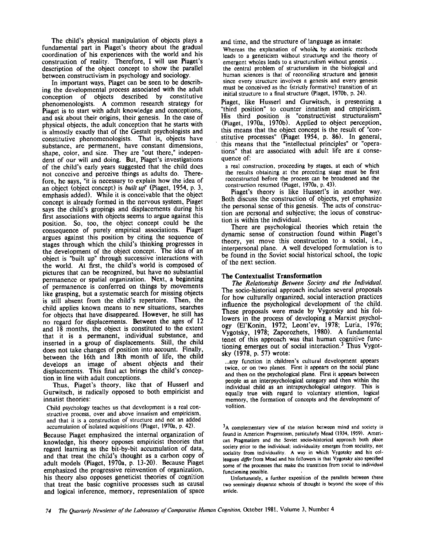The child's physical manipulation of objects plays a fundamental part in Piaget's theory about the gradual coordination of his experiences with the world and his construction of reality. Therefore, I will use Piaget's description of the object concept to show the parallel between constructivism in psychology and sociology.

In important ways, Piaget can be seen to be describing the developmental process associated with the adult conception of objects described by constitutive phenomenologists. A common research strategy for Piaget is to start with adult knowledge and conceptions, and ask about their origins, their genesis. In the case of physical objects, the adult conception that he starts with is almostly exactly that of the Gestalt psychologists and constitutive phenomenologists. That is, objects have substance, are permanent, have constant dimensions, shape, color, and size. They are "out there," independent of our will and doing. But, Piaget's investigations of the child's early years suggested that the child does not conceive and perceive things as adults do. Therefore, he says, "it is necessary to explain how the idea of an object (object concept) is *built up'* (Piaget, 1954, p. 3, emphasis added). While it is conceivable that the object concept is already formed in the nervous system, Piaget says the child's gropings and displacements during his first associations with objects seems to argue against this position. So, too, the object concept could be the consequence of purely empirical associations. Piaget argues against this position by citing the sequence of stages through which the child's thinking progresses in the development of the object concept. The idea of an object is "built up" through successive interactions with the world. At first, the child's world is composed of pictures that can be recognized, but have no substantial permanence or spatial organization. Next, a beginning of permanence is conferred on things by movements like grasping, but a systematic search for missing objects is still absent from the child's repertoire. Then, the child applies known means to new situations, searches for objects that have disappeared. However, he still has no regard for displacements. Between the ages of 12 and 18 months, the object is constituted to the extent that it is a permanent, individual substance, and inserted in a group of displacements. Still, the child does not take changes of position into account. Finally, between the 16th and 18th month of life, the child develops an image of absent objects and their displacements. This final act brings the child's conception in line with adult conceptions.

Thus, Piaget's theory, like that of Husserl and Gurwitsch, is radically opposed to both empiricist and innatist theories:

Child psychology teaches us that development is a real constructive process, over and above innatism and empiricism, and that it is a construction of structure and not an added accumulation of isolated acquisitions (Piaget, 1970a, p. 42).

Because Piaget emphasized the internal organization of knowledge, his theory opposes empiricist theories that regard learning as the bit-by-bit accumulation of data, and that treat the child's thought as a carbon copy of adult models (Piaget, 1970a, p. 13-20). Because Piaget emphasized the progressive reinvention of organization, his theory also opposes geneticist theories of cognition that treat the basic cognitive processes such as causal and logical inference, memory, representation of space and time, and the structure of language as innate:

Whereas the explanation of wholes by atomistic methods leads to a geneticism without structures and the theory of emergent wholes leads to a structuralism without genesis . the central problem of structuralism in the biological and human sciences is that of reconciling structure and genesis since every structure involves a genesis and every genesis must be conceived as the (strictly formative) transition of an initial structure to a final structure (Piaget, 1970b, p. 24).

Piaget, like Husserl and Gurwitsch, is presenting a "third position" to counter innatism and empiricism. His third position is "constructivist structuralism" (Piaget, 1970a, 1970b). Applied to object perception, this means that the object concept is the result of "constitutive processes" (Piaget 1954, p. **86).** In general, this means that the "intellectual principles" or "operations" that are associated with adult life are a consequence of:

a real construction, proceeding by stages, at each of which the results obtaining at the preceding stage must be first reconstructed before the process can be broadened and the construction resumed (Piaget, 1970a, p. 43).

Piaget's theory is like Husserl's in another way. Both discuss the construction of objects, yet emphasize the personal sense of this genesis. The acts of construction are personal and subjective; the locus of construction is within the individual.

There are psychological theories which retain the dynamic sense of construction found within Piaget's theory, yet move this construction to a social, i.e., interpersonal plane. A well developed formulation is to be found in the Soviet social historical school, the topic of the next section.

#### **The Contextualist Transformation**

*The Relationship Between Society and the Individual.*  The socio-historical approach includes several proposals for how culturally organized, social interaction practices influence the psychological development of the child. These proposals were made by Vygotsky and his followers in the process of developing a Marxist psychology (El'Konin, 1972; Leont'ev, 1978; Luria, 1976; Vygotsky, 1978; Zaporozhets, 1980). A fundamental tenet of this approach was that human cognitive functioning emerges out of social interaction.3 Thus Vygotsky (1978, p. 57) wrote:

... any function in children's cultural development appears twice, or on two planes. First it appears on the social plane and then on the psychological plane. First it appears between people as an interpsychological category and then within the individual child as an intrapsychological category. This is equally true with regard to voluntary attention, logical memory, the formation of concepts and the development of volition.

 $3A$  complementary view of the relation between mind and society is found in American Pragmatism, particularly Mead (1934, 1959). American Pragmatism and the Soviet socio-historical approach both place society prior to the individual; individuality emerges from sociality, not sociality from individuality. A way in which Vygotsky and his colleagues *differ* from Mead and his followers is that Vygotsky also specified some of the processes that make the transition from social to individual functioning possible.

Unfortunately, a further exposition of the parallels between these two seemingly disparate schools of thought is beyond the scope of this article.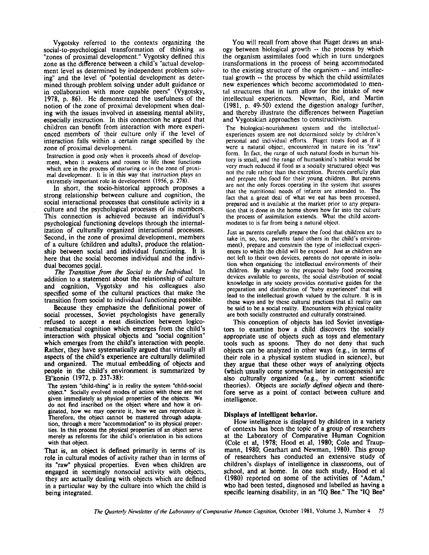Vygotsky referred to the contexts organizing the social-to-psychological transformation of thinking as "zones of proximal development." Vygotsky defined this zone as the difference between a child's "actual development level as determined by independent problem solving" and the level of "potential development as determined through problem solving under adult guidance or in collaboration with more capable peers" (Vygotsky, 1978, p. 86). He demonstrated the usefulness of the notion of the zone of proximal development when dealing with the issues involved in assessing mental ability, especially instruction. In this connection he argued that children can benefit from interaction with more experienced members of their culture only if the level of interaction falls within a certain range specified by the zone of proximal development.

Instruction is good only when it proceeds ahead of development, when it awakens. and rouses to life those functions which are in the process of maturing or in the zone of proximal development. It is in this way that instruction plays an extremely important role in development (1956, p. 278).

In short, the socio-historical approach proposes a strong relationship between culture and cognition, the social interactional processes that constitute activity in a culture and the psychological processes of its members. This connection is achieved because an individual's psychological functioning develops through the internalization of culturally organized interactional processes. Second, in the zone of proximal development, members of a culture (children and adults), produce the relationship between social and individual functioning. It is here that the social becomes individual and the individual becomes social.

*The Transition from the Social to the Individual.* In addition to a statement about the relationship of culture and cognition, Vygotsky and his colleagues also specified some of the cultural practices that make the transition from social to individual functioning possible.

Because they emphasize the definitional power of social processes, Soviet psychologists have generally refused to accept a neat distinction between logico-mathematical cognition which emerges from the child's interaction with physical objects and "social cognition" which emerges from the child's interaction with people. Rather, they have systematically argued that virtually all aspects of the child's experience are culturally delimited and organized. The mutual embedding of objects and people in the child's environment is summarized by El'konin (1972, p. 237-38):

The system "child-thing" is in reality the system "child-social object." Socially evolved modes of action with these are not given immediately as physical properties of the objects. We do not find inscribed on the object where and how it originated, how we may operate it, how we can reproduce it. Therefore, the object cannot be mastered through adaptation, through a mere "accommodation" to its physical properties. In this process the physical properties of an object serve merely as referents for the child's orientation in his actions with that object.

That is, an object is defined primarily in terms of its role in cultural modes of activity rather than in terms of its "raw" physical properties. Even when children are engaged in seemingly nonsocial activity with objects, they are actually dealing with objects which are defined in a particular way by the culture into which the child is being integrated.

You will recall from above that Piaget draws an analogy between biological growth -- the process by which the organism assimilates food which in turn undergoes transformations in the process of being accommodated to the existing structure of the organism -- and intellectual growth -- the process by which the child assimilates new experiences which become accommodated to mental structures that in turn allow for the intake of new intellectual experiences. Newman, Riel, and Martin (1981, p. 49-50) extend the digestion analogy further, and thereby illustrate the differences between Piagetian and Vygotskian approaches to constructivism.

The biological-nourishment system and the intellectualexperiences system are not determined solely by children's personal and individual efforts. Piaget treats food as if it were a natural object, encountered in nature in its "raw" form. In fact, the range of such natural foods in human history is small, and the range of humankind's habitat would be very much reduced if food as a socially structured object was not the rule rather than the exception. Parents carefully plan are not the only forces operating in the system that assures that the nutritional needs of infants are attended to. The fact that a great deal of what we eat has been processed, prepared and is available at the market prior to any preparation that is done in the home shows how far into the culture the process of assimilation extends. What the child accommodates to is far from being a natural object.

Just as parents carefully prepare the food that children are to take in, so, too, parents (and others in the child's environment), prepare and constrain the type of intellectual experiences to which the child will be exposed. Just as children are not left to their own devices, parents do not operate in isolation when organizing the intellectual environments of their children. By analogy to the prepared baby food processing devices available to parents, the social distribution of social knowledge in any society provides normative guides for the preparation and distribution of "baby experiences" that will lead to the intellectual growth valued by the culture. It is in these ways and by these cultural practices that all reality can be said to be a social reality. Encounters with physical reality are both socially constructed and culturally constrained.

This conception of objects has led Soviet investigators to examine how a child discovers the socially appropriate use of objects such as toys and elementary tools such as spoons. They do not deny that such objects can be analyzed in other ways (e.g., in terms of their role in a physical system studied in science), but they argue that these other ways of analyzing objects (which usually come somewhat later in ontogenesis) are also culturally organized (e.g., by current scientific theories). Objects are *socially defined objects* and therefore serve as a point of contact between culture and intelligence.

#### **Displays of intelligent behavior.**

How intelligence is displayed by children in a variety of contexts has been the topic of a group of researchers at the Laboratory of Comparative Human Cognition (Cole et al, 1978; Hood et al, 1980; Cole and Traupmann, 1980; Gearhart and Newman, 1980). This group of researchers has conducted an extensive study of children's displays of intelligence in classrooms, out of school, and at home. In one such study, Hood et al (1980) reported on some of the activities of "Adam," who had been tested, diagnosed and labelled as having a specific learning disability, in an "IQ Bee." The "IQ Bee"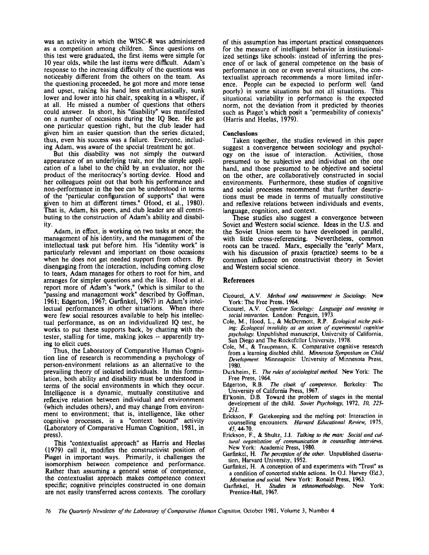was an activity in which the WISC-R was administered as a competition among children. Since questions on this test were graduated, the first items were simple for 10 year olds, while the last items were difficult. Adam's response to the increasing difficulty of the questions was noticeably different from the others on the team. As the questioning proceeded, he got more and more tense and upset, raising his hand less enthusiastically, sunk lower and lower into his chair, speaking in a whisper, if at all. He missed a number of questions that others could answer. In short, his "disability" was manifested on a number of occasions during the IQ Bee. He got one particular question right, but the club leader had given him an easier question than the series dictated; thus, even his success was a failure. Everyone, including Adam, was aware of the special treatment he got.

But this disability was not simply the outward appearance of an underlying trait, nor the simple application of a label to the child by an evaluator, nor the product of the meritocracy's sorting device. Hood and her colleagues point out that both his performance and non-performance in the bee can be understood in terms of the "particular configuration of supports" that were given to him at different times." (Hood, et al., 1980). That is, Adam, his peers, and club leader are all contributing to the construction of Adam's ability and disabil-

Adam, in effect, is working on two tasks at once; the management of his identity, and the management of the intellectual task put before him. His "identity work" is particularly relevant and important on those occasions when he does not get needed support from others. By disengaging from the interaction, including coming close to tears, Adam manages for others to root for him, and arranges for simpler questions and the like. Hood et al. report more of Adam's "work," (which is similar to the "passing and management work" described by Goffman, 1961; Edgerton, 1967; Garfinkel, 1967) in Adam's intellectual performances in other situations. When there were few social resources available to help his intellectual performance, as on an individualized IQ test, he works to put these supports back, by chatting with the tester, stalling for time, making jokes -- apparently trying to elicit cues.

Thus, the Laboratory of Comparative Human Cognition line of research is recommending a psychology of person-environment relations as an alternative to the prevailing theory of isolated individuals. In this formulation, both ability and disability must be understood in terms of the social environments in which they occur. Intelligence is a dynamic, mutually constitutive and reflexive relation between individual and environment (which includes others), and may change from environment to environment; that is, intelligence, like other cognitive processes, is a "context bound" activity (Laboratory of Comparative Human Cognition, 1981, in press).

This "contextualist approach" as Harris and Heelas (1979) call it, modifies the constructivist position of Piaget in important ways. Primarily, it challenges the isomorphism between competence and performance. Rather than assuming a general sense of competence, the contextualist approach makes competence context specific; cognitive principles constructed in one domain are not easily transferred across contexts. The corollary

of this assumption has important practical consequences for the measure of intelligent behavior in institutionalized settings like schools: instead of inferring the presence of or lack of general competence on the basis of performance in one or even several situations, the contextualist approach recommends a more limited inference. People can be expected to perform well (and poorly) in some situations but not all situations. This situational variability in performance is the expected norm, not the deviation from it predicted by theories such as Piaget's which posit a "permeability of contexts" (Harris and Heelas, 1979).

#### **Conclusions**

Taken together, the studies reviewed in this paper suggest a convergence between sociology and psychology on the issue of interaction. Activities, those presumed to be subjective and individual on the one hand, and those presumed to be objective and societal on the other, are collaboratively constructed in social environments. Furthermore, these studies of cognitive and social processes recommend that further descriptions must be made in terms of mutually constitutive and reflexive relations between individuals and events, language, cognition, and context.

These studies also suggest a convergence between Soviet and Western social science. Ideas in the U.S. and the Soviet Union seem to have developed in parallel, with little cross-referencing. Nevertheless, common roots can be traced. Marx, especially the "early" Marx, with his discussion of praxis (practice) seems to be a common influence on constructivist theory in Soviet and Western social science.

# **References**

- Cicourel, A.V. *Method and measurement in Sociology.* New York: The Free Press. 1964.
- Cicourel, A.V. *Cognitive Sociology: Language-and meaning in social interaction.* London: Penguin, 1973.
- Cole, M., Hood, L., & McDermott, R.P. *Ecological niche picking: Ecological invalidity as an axiom of experimental cognitive psychology.* Unpublished manuscript, University of California, San Diego and The Rockefeller University, 1978.
- Cole, M., & Traupmann, K. Comparative cognitive research from a learning disabled child. *Minnesota Symposium on Child Delle/opment.* Minneapolis: University of Minnesota Press, 1980.
- Durkheim, E. *The rules of sociological method.* New York: The Free Press, 1964.
- Edgerton, R.B. *The cloak of competence.* Berkeley: The University of California Press, 1967.
- El'konin, D.B. Toward the problem of stages in the mental development of the child. *Soviet Psychology,* 1972, *JO, 225- 251.*
- Erickson, F. Gatekeeping and the melting pot: Interaction in counselling encounters. *Harvard Educational Review,* 1975, *45,* 44-70.
- Erickson, F., & Shultz, J.J. *Talking to the man: Social and cultural organization of communication in counselling interviews.*  New York: Academic Press, 1980.
- Garfinkel, H. *The perception of the other.* Unpublished dissertation, Harvard University, 1952.
- Garfinkel, H. A conception of and experiments with "Trust" as a condition of concerted stable actions. In O.J. Harvey (Ed.),
- *Motivation and social. New York: Ronald Press, 1963.*<br>Garfinkel, H. *Studies in ethnomethodology*. New York: Studies in ethnomethodology. Prentice-Hall, 1967.